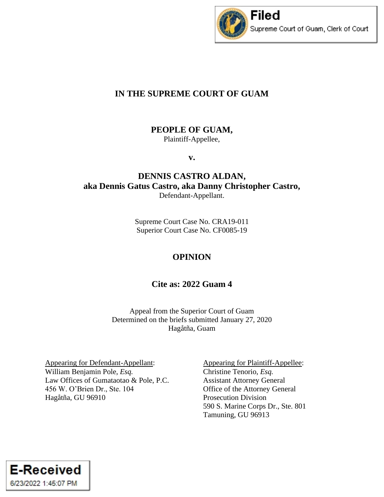

# **IN THE SUPREME COURT OF GUAM**

**PEOPLE OF GUAM,**

Plaintiff-Appellee,

**v.**

# **DENNIS CASTRO ALDAN, aka Dennis Gatus Castro, aka Danny Christopher Castro,** Defendant-Appellant.

Supreme Court Case No. CRA19-011 Superior Court Case No. CF0085-19

# **OPINION**

# **Cite as: 2022 Guam 4**

Appeal from the Superior Court of Guam Determined on the briefs submitted January 27, 2020 Hagåtña, Guam

Appearing for Defendant-Appellant: William Benjamin Pole, *Esq.* Law Offices of Gumataotao & Pole, P.C. 456 W. O'Brien Dr., Ste. 104 Hagåtña, GU 96910

Appearing for Plaintiff-Appellee: Christine Tenorio, *Esq.* Assistant Attorney General Office of the Attorney General Prosecution Division 590 S. Marine Corps Dr., Ste. 801 Tamuning, GU 96913

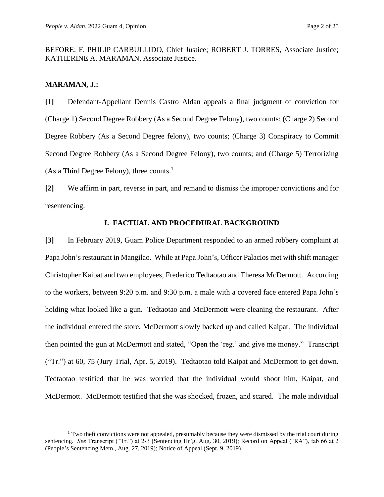BEFORE: F. PHILIP CARBULLIDO, Chief Justice; ROBERT J. TORRES, Associate Justice; KATHERINE A. MARAMAN, Associate Justice.

#### **MARAMAN, J.:**

**[1]** Defendant-Appellant Dennis Castro Aldan appeals a final judgment of conviction for (Charge 1) Second Degree Robbery (As a Second Degree Felony), two counts; (Charge 2) Second Degree Robbery (As a Second Degree felony), two counts; (Charge 3) Conspiracy to Commit Second Degree Robbery (As a Second Degree Felony), two counts; and (Charge 5) Terrorizing (As a Third Degree Felony), three counts.<sup>1</sup>

**[2]** We affirm in part, reverse in part, and remand to dismiss the improper convictions and for resentencing.

### **I. FACTUAL AND PROCEDURAL BACKGROUND**

**[3]** In February 2019, Guam Police Department responded to an armed robbery complaint at Papa John's restaurant in Mangilao. While at Papa John's, Officer Palacios met with shift manager Christopher Kaipat and two employees, Frederico Tedtaotao and Theresa McDermott. According to the workers, between 9:20 p.m. and 9:30 p.m. a male with a covered face entered Papa John's holding what looked like a gun. Tedtaotao and McDermott were cleaning the restaurant. After the individual entered the store, McDermott slowly backed up and called Kaipat. The individual then pointed the gun at McDermott and stated, "Open the 'reg.' and give me money." Transcript ("Tr.") at 60, 75 (Jury Trial, Apr. 5, 2019). Tedtaotao told Kaipat and McDermott to get down. Tedtaotao testified that he was worried that the individual would shoot him, Kaipat, and McDermott. McDermott testified that she was shocked, frozen, and scared. The male individual

 $1$  Two theft convictions were not appealed, presumably because they were dismissed by the trial court during sentencing. *See* Transcript ("Tr.") at 2-3 (Sentencing Hr'g, Aug. 30, 2019); Record on Appeal ("RA"), tab 66 at 2 (People's Sentencing Mem., Aug. 27, 2019); Notice of Appeal (Sept. 9, 2019).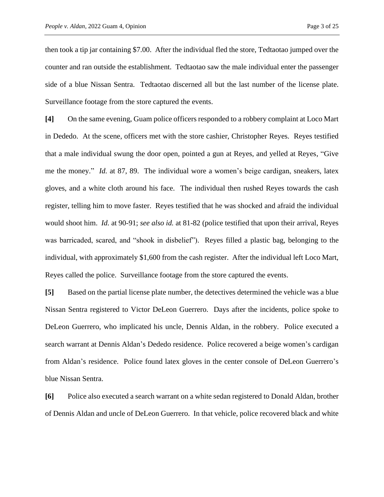then took a tip jar containing \$7.00. After the individual fled the store, Tedtaotao jumped over the counter and ran outside the establishment. Tedtaotao saw the male individual enter the passenger side of a blue Nissan Sentra. Tedtaotao discerned all but the last number of the license plate. Surveillance footage from the store captured the events.

**[4]** On the same evening, Guam police officers responded to a robbery complaint at Loco Mart in Dededo. At the scene, officers met with the store cashier, Christopher Reyes. Reyes testified that a male individual swung the door open, pointed a gun at Reyes, and yelled at Reyes, "Give me the money." *Id.* at 87, 89. The individual wore a women's beige cardigan, sneakers, latex gloves, and a white cloth around his face. The individual then rushed Reyes towards the cash register, telling him to move faster. Reyes testified that he was shocked and afraid the individual would shoot him. *Id.* at 90-91; *see also id.* at 81-82 (police testified that upon their arrival, Reyes was barricaded, scared, and "shook in disbelief"). Reyes filled a plastic bag, belonging to the individual, with approximately \$1,600 from the cash register. After the individual left Loco Mart, Reyes called the police. Surveillance footage from the store captured the events.

**[5]** Based on the partial license plate number, the detectives determined the vehicle was a blue Nissan Sentra registered to Victor DeLeon Guerrero. Days after the incidents, police spoke to DeLeon Guerrero, who implicated his uncle, Dennis Aldan, in the robbery. Police executed a search warrant at Dennis Aldan's Dededo residence. Police recovered a beige women's cardigan from Aldan's residence. Police found latex gloves in the center console of DeLeon Guerrero's blue Nissan Sentra.

**[6]** Police also executed a search warrant on a white sedan registered to Donald Aldan, brother of Dennis Aldan and uncle of DeLeon Guerrero. In that vehicle, police recovered black and white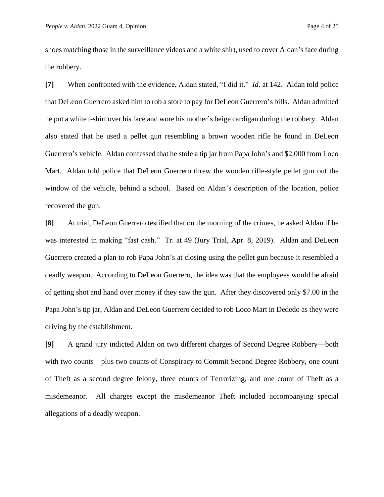shoes matching those in the surveillance videos and a white shirt, used to cover Aldan's face during the robbery.

**[7]** When confronted with the evidence, Aldan stated, "I did it." *Id.* at 142. Aldan told police that DeLeon Guerrero asked him to rob a store to pay for DeLeon Guerrero's bills. Aldan admitted he put a white t-shirt over his face and wore his mother's beige cardigan during the robbery. Aldan also stated that he used a pellet gun resembling a brown wooden rifle he found in DeLeon Guerrero's vehicle. Aldan confessed that he stole a tip jar from Papa John's and \$2,000 from Loco Mart. Aldan told police that DeLeon Guerrero threw the wooden rifle-style pellet gun out the window of the vehicle, behind a school. Based on Aldan's description of the location, police recovered the gun.

**[8]** At trial, DeLeon Guerrero testified that on the morning of the crimes, he asked Aldan if he was interested in making "fast cash." Tr. at 49 (Jury Trial, Apr. 8, 2019). Aldan and DeLeon Guerrero created a plan to rob Papa John's at closing using the pellet gun because it resembled a deadly weapon. According to DeLeon Guerrero, the idea was that the employees would be afraid of getting shot and hand over money if they saw the gun. After they discovered only \$7.00 in the Papa John's tip jar, Aldan and DeLeon Guerrero decided to rob Loco Mart in Dededo as they were driving by the establishment.

**[9]** A grand jury indicted Aldan on two different charges of Second Degree Robbery—both with two counts—plus two counts of Conspiracy to Commit Second Degree Robbery, one count of Theft as a second degree felony, three counts of Terrorizing, and one count of Theft as a misdemeanor. All charges except the misdemeanor Theft included accompanying special allegations of a deadly weapon.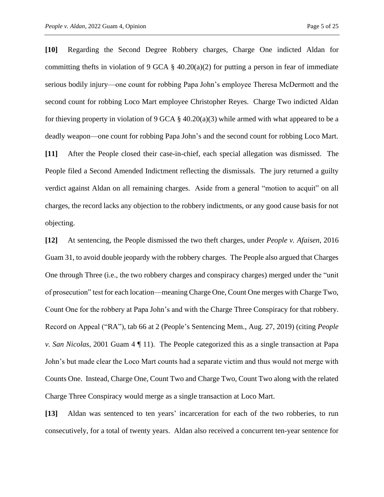**[10]** Regarding the Second Degree Robbery charges, Charge One indicted Aldan for committing thefts in violation of 9 GCA  $\S$  40.20(a)(2) for putting a person in fear of immediate serious bodily injury—one count for robbing Papa John's employee Theresa McDermott and the second count for robbing Loco Mart employee Christopher Reyes. Charge Two indicted Aldan for thieving property in violation of 9 GCA § 40.20(a)(3) while armed with what appeared to be a deadly weapon—one count for robbing Papa John's and the second count for robbing Loco Mart. **[11]** After the People closed their case-in-chief, each special allegation was dismissed. The People filed a Second Amended Indictment reflecting the dismissals. The jury returned a guilty verdict against Aldan on all remaining charges. Aside from a general "motion to acquit" on all charges, the record lacks any objection to the robbery indictments, or any good cause basis for not objecting.

**[12]** At sentencing, the People dismissed the two theft charges, under *People v. Afaisen*, 2016 Guam 31, to avoid double jeopardy with the robbery charges. The People also argued that Charges One through Three (i.e., the two robbery charges and conspiracy charges) merged under the "unit of prosecution" test for each location—meaning Charge One, Count One merges with Charge Two, Count One for the robbery at Papa John's and with the Charge Three Conspiracy for that robbery. Record on Appeal ("RA"), tab 66 at 2 (People's Sentencing Mem., Aug. 27, 2019) (citing *People v. San Nicolas*, 2001 Guam 4 ¶ 11). The People categorized this as a single transaction at Papa John's but made clear the Loco Mart counts had a separate victim and thus would not merge with Counts One. Instead, Charge One, Count Two and Charge Two, Count Two along with the related Charge Three Conspiracy would merge as a single transaction at Loco Mart.

**[13]** Aldan was sentenced to ten years' incarceration for each of the two robberies, to run consecutively, for a total of twenty years. Aldan also received a concurrent ten-year sentence for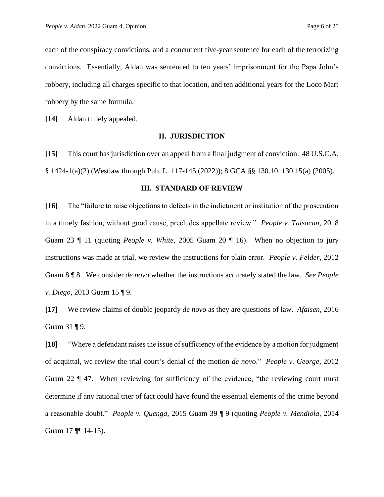each of the conspiracy convictions, and a concurrent five-year sentence for each of the terrorizing convictions. Essentially, Aldan was sentenced to ten years' imprisonment for the Papa John's robbery, including all charges specific to that location, and ten additional years for the Loco Mart robbery by the same formula.

**[14]** Aldan timely appealed.

### **II. JURISDICTION**

**[15]** This court has jurisdiction over an appeal from a final judgment of conviction. 48 U.S.C.A. § 1424-1(a)(2) (Westlaw through Pub. L. 117-145 (2022)); 8 GCA §§ 130.10, 130.15(a) (2005).

### **III. STANDARD OF REVIEW**

**[16]** The "failure to raise objections to defects in the indictment or institution of the prosecution in a timely fashion, without good cause, precludes appellate review." *People v. Taisacan*, 2018 Guam 23 ¶ 11 (quoting *People v. White*, 2005 Guam 20 ¶ 16). When no objection to jury instructions was made at trial, we review the instructions for plain error. *People v. Felder*, 2012 Guam 8 ¶ 8. We consider *de novo* whether the instructions accurately stated the law. *See People v. Diego*, 2013 Guam 15 ¶ 9.

**[17]** We review claims of double jeopardy *de novo* as they are questions of law. *Afaisen*, 2016 Guam 31 ¶ 9.

**[18]** "Where a defendant raises the issue of sufficiency of the evidence by a motion for judgment of acquittal, we review the trial court's denial of the motion *de novo*." *People v. George*, 2012 Guam 22  $\parallel$  47. When reviewing for sufficiency of the evidence, "the reviewing court must determine if any rational trier of fact could have found the essential elements of the crime beyond a reasonable doubt." *People v. Quenga*, 2015 Guam 39 ¶ 9 (quoting *People v. Mendiola*, 2014 Guam 17 **[**¶ 14-15).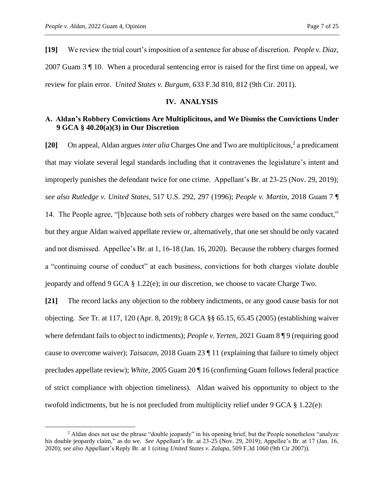**[19]** We review the trial court's imposition of a sentence for abuse of discretion. *People v. Diaz*, 2007 Guam 3 ¶ 10. When a procedural sentencing error is raised for the first time on appeal, we review for plain error. *United States v. Burgum*, 633 F.3d 810, 812 (9th Cir. 2011).

## **IV. ANALYSIS**

## **A. Aldan's Robbery Convictions Are Multiplicitous, and We Dismiss the Convictions Under 9 GCA § 40.20(a)(3) in Our Discretion**

**[20]** On appeal, Aldan argues *inter alia* Charges One and Two are multiplicitous, 2 a predicament that may violate several legal standards including that it contravenes the legislature's intent and improperly punishes the defendant twice for one crime. Appellant's Br. at 23-25 (Nov. 29, 2019); *see also Rutledge v. United States*, 517 U.S. 292, 297 (1996); *People v. Martin*, 2018 Guam 7 ¶ 14. The People agree, "[b]ecause both sets of robbery charges were based on the same conduct," but they argue Aldan waived appellate review or, alternatively, that one set should be only vacated and not dismissed. Appellee's Br. at 1, 16-18 (Jan. 16, 2020). Because the robbery charges formed a "continuing course of conduct" at each business, convictions for both charges violate double jeopardy and offend 9 GCA § 1.22(e); in our discretion, we choose to vacate Charge Two.

**[21]** The record lacks any objection to the robbery indictments, or any good cause basis for not objecting. *See* Tr. at 117, 120 (Apr. 8, 2019); 8 GCA §§ 65.15, 65.45 (2005) (establishing waiver where defendant fails to object to indictments); *People v. Yerten*, 2021 Guam 8 ¶ 9 (requiring good cause to overcome waiver); *Taisacan*, 2018 Guam 23 ¶ 11 (explaining that failure to timely object precludes appellate review); *White*, 2005 Guam 20 ¶ 16 (confirming Guam follows federal practice of strict compliance with objection timeliness). Aldan waived his opportunity to object to the twofold indictments, but he is not precluded from multiplicity relief under 9 GCA § 1.22(e):

<sup>&</sup>lt;sup>2</sup> Aldan does not use the phrase "double jeopardy" in his opening brief, but the People nonetheless "analyze" his double jeopardy claim," as do we. *See* Appellant's Br. at 23-25 (Nov. 29, 2019); Appellee's Br. at 17 (Jan. 16, 2020); *see also* Appellant's Reply Br. at 1 (citing *United States v. Zalapa*, 509 F.3d 1060 (9th Cir 2007)).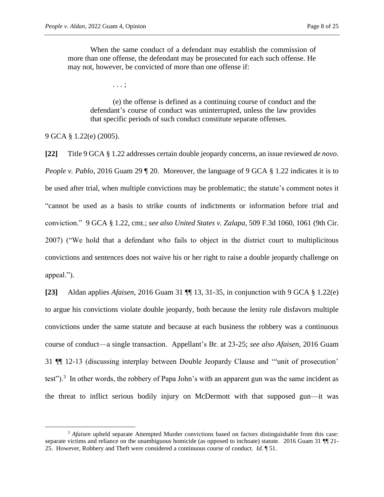When the same conduct of a defendant may establish the commission of more than one offense, the defendant may be prosecuted for each such offense. He may not, however, be convicted of more than one offense if:

. . . ;

(e) the offense is defined as a continuing course of conduct and the defendant's course of conduct was uninterrupted, unless the law provides that specific periods of such conduct constitute separate offenses.

9 GCA § 1.22(e) (2005).

**[22]** Title 9 GCA § 1.22 addresses certain double jeopardy concerns, an issue reviewed *de novo*. *People v. Pablo*, 2016 Guam 29 | 20. Moreover, the language of 9 GCA § 1.22 indicates it is to be used after trial, when multiple convictions may be problematic; the statute's comment notes it "cannot be used as a basis to strike counts of indictments or information before trial and conviction." 9 GCA § 1.22, cmt.; *see also United States v. Zalapa*, 509 F.3d 1060, 1061 (9th Cir. 2007) ("We hold that a defendant who fails to object in the district court to multiplicitous convictions and sentences does not waive his or her right to raise a double jeopardy challenge on appeal.").

**[23]** Aldan applies *Afaisen*, 2016 Guam 31 ¶¶ 13, 31-35, in conjunction with 9 GCA § 1.22(e) to argue his convictions violate double jeopardy, both because the lenity rule disfavors multiple convictions under the same statute and because at each business the robbery was a continuous course of conduct—a single transaction. Appellant's Br. at 23-25; *see also Afaisen*, 2016 Guam 31 ¶¶ 12-13 (discussing interplay between Double Jeopardy Clause and '"unit of prosecution' test").<sup>3</sup> In other words, the robbery of Papa John's with an apparent gun was the same incident as the threat to inflict serious bodily injury on McDermott with that supposed gun—it was

<sup>&</sup>lt;sup>3</sup> Afaisen upheld separate Attempted Murder convictions based on factors distinguishable from this case: separate victims and reliance on the unambiguous homicide (as opposed to inchoate) statute. 2016 Guam 31 ¶ 21-25. However, Robbery and Theft were considered a continuous course of conduct. *Id.* ¶ 51.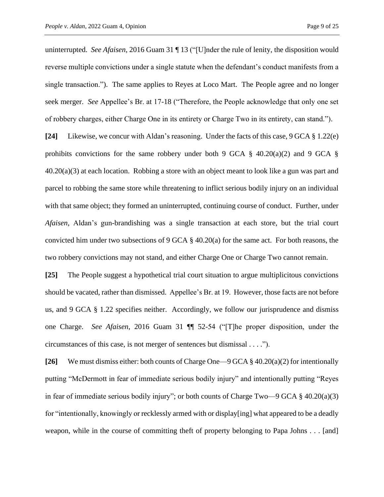uninterrupted. *See Afaisen*, 2016 Guam 31 ¶ 13 ("[U]nder the rule of lenity, the disposition would reverse multiple convictions under a single statute when the defendant's conduct manifests from a single transaction."). The same applies to Reyes at Loco Mart. The People agree and no longer seek merger. *See* Appellee's Br. at 17-18 ("Therefore, the People acknowledge that only one set of robbery charges, either Charge One in its entirety or Charge Two in its entirety, can stand.").

**[24]** Likewise, we concur with Aldan's reasoning. Under the facts of this case, 9 GCA § 1.22(e) prohibits convictions for the same robbery under both 9 GCA  $\S$  40.20(a)(2) and 9 GCA  $\S$ 40.20(a)(3) at each location. Robbing a store with an object meant to look like a gun was part and parcel to robbing the same store while threatening to inflict serious bodily injury on an individual with that same object; they formed an uninterrupted, continuing course of conduct. Further, under *Afaisen*, Aldan's gun-brandishing was a single transaction at each store, but the trial court convicted him under two subsections of 9 GCA § 40.20(a) for the same act. For both reasons, the two robbery convictions may not stand, and either Charge One or Charge Two cannot remain.

**[25]** The People suggest a hypothetical trial court situation to argue multiplicitous convictions should be vacated, rather than dismissed. Appellee's Br. at 19. However, those facts are not before us, and 9 GCA § 1.22 specifies neither. Accordingly, we follow our jurisprudence and dismiss one Charge. *See Afaisen*, 2016 Guam 31 ¶¶ 52-54 ("[T]he proper disposition, under the circumstances of this case, is not merger of sentences but dismissal . . . .").

**[26]** We must dismiss either: both counts of Charge One—9 GCA § 40.20(a)(2) for intentionally putting "McDermott in fear of immediate serious bodily injury" and intentionally putting "Reyes in fear of immediate serious bodily injury"; or both counts of Charge Two—9 GCA § 40.20(a)(3) for "intentionally, knowingly or recklessly armed with or display[ing] what appeared to be a deadly weapon, while in the course of committing theft of property belonging to Papa Johns . . . [and]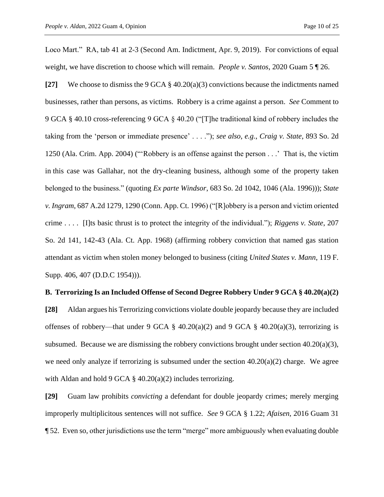Loco Mart." RA, tab 41 at 2-3 (Second Am. Indictment, Apr. 9, 2019). For convictions of equal weight, we have discretion to choose which will remain. *People v. Santos*, 2020 Guam 5 ¶ 26.

**[27]** We choose to dismiss the 9 GCA § 40.20(a)(3) convictions because the indictments named businesses, rather than persons, as victims. Robbery is a crime against a person. *See* Comment to 9 GCA § 40.10 cross-referencing 9 GCA § 40.20 ("[T]he traditional kind of robbery includes the taking from the 'person or immediate presence' . . . ."); *see also*, *e.g.*, *Craig v. State*, 893 So. 2d 1250 (Ala. Crim. App. 2004) ("'Robbery is an offense against the person . . .' That is, the victim in this case was Gallahar, not the dry-cleaning business, although some of the property taken belonged to the business." (quoting *Ex parte Windsor*, 683 So. 2d 1042, 1046 (Ala. 1996))); *State v. Ingram*, 687 A.2d 1279, 1290 (Conn. App. Ct. 1996) ("[R]obbery is a person and victim oriented crime . . . . [I]ts basic thrust is to protect the integrity of the individual."); *Riggens v. State*, 207 So. 2d 141, 142-43 (Ala. Ct. App. 1968) (affirming robbery conviction that named gas station attendant as victim when stolen money belonged to business (citing *United States v. Mann*, 119 F. Supp. 406, 407 (D.D.C 1954))).

#### **B. Terrorizing Is an Included Offense of Second Degree Robbery Under 9 GCA § 40.20(a)(2)**

**[28]** Aldan argues his Terrorizing convictions violate double jeopardy because they are included offenses of robbery—that under 9 GCA  $\S$  40.20(a)(2) and 9 GCA  $\S$  40.20(a)(3), terrorizing is subsumed. Because we are dismissing the robbery convictions brought under section  $40.20(a)(3)$ , we need only analyze if terrorizing is subsumed under the section  $40.20(a)(2)$  charge. We agree with Aldan and hold 9 GCA § 40.20(a)(2) includes terrorizing.

**[29]** Guam law prohibits *convicting* a defendant for double jeopardy crimes; merely merging improperly multiplicitous sentences will not suffice. *See* 9 GCA § 1.22; *Afaisen*, 2016 Guam 31 ¶ 52. Even so, other jurisdictions use the term "merge" more ambiguously when evaluating double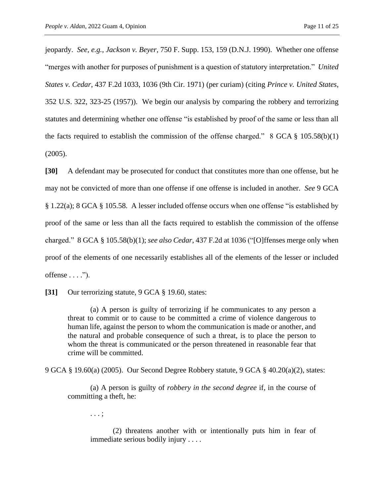jeopardy. *See, e.g.*, *Jackson v. Beyer*, 750 F. Supp. 153, 159 (D.N.J. 1990). Whether one offense "merges with another for purposes of punishment is a question of statutory interpretation." *United States v. Cedar*, 437 F.2d 1033, 1036 (9th Cir. 1971) (per curiam) (citing *Prince v. United States*, 352 U.S. 322, 323-25 (1957)). We begin our analysis by comparing the robbery and terrorizing statutes and determining whether one offense "is established by proof of the same or less than all the facts required to establish the commission of the offense charged."  $8$  GCA  $\frac{8}{9}$  105.58(b)(1) (2005).

**[30]** A defendant may be prosecuted for conduct that constitutes more than one offense, but he may not be convicted of more than one offense if one offense is included in another. *See* 9 GCA § 1.22(a); 8 GCA § 105.58. A lesser included offense occurs when one offense "is established by proof of the same or less than all the facts required to establish the commission of the offense charged." 8 GCA § 105.58(b)(1); *see also Cedar*, 437 F.2d at 1036 ("[O]ffenses merge only when proof of the elements of one necessarily establishes all of the elements of the lesser or included offense  $\dots$ .").

**[31]** Our terrorizing statute, 9 GCA § 19.60, states:

(a) A person is guilty of terrorizing if he communicates to any person a threat to commit or to cause to be committed a crime of violence dangerous to human life, against the person to whom the communication is made or another, and the natural and probable consequence of such a threat, is to place the person to whom the threat is communicated or the person threatened in reasonable fear that crime will be committed.

9 GCA § 19.60(a) (2005). Our Second Degree Robbery statute, 9 GCA § 40.20(a)(2), states:

(a) A person is guilty of *robbery in the second degree* if, in the course of committing a theft, he:

. . . ;

(2) threatens another with or intentionally puts him in fear of immediate serious bodily injury . . . .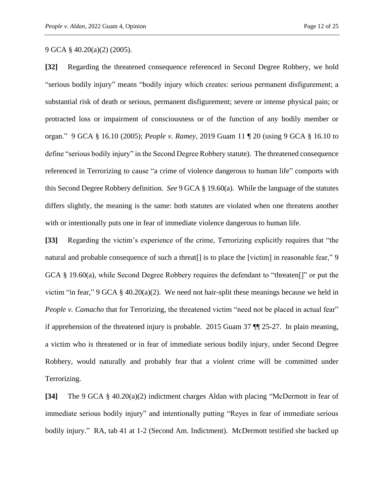9 GCA § 40.20(a)(2) (2005).

**[32]** Regarding the threatened consequence referenced in Second Degree Robbery, we hold "serious bodily injury" means "bodily injury which creates: serious permanent disfigurement; a substantial risk of death or serious, permanent disfigurement; severe or intense physical pain; or protracted loss or impairment of consciousness or of the function of any bodily member or organ." 9 GCA § 16.10 (2005); *People v. Ramey*, 2019 Guam 11 ¶ 20 (using 9 GCA § 16.10 to define "serious bodily injury" in the Second Degree Robbery statute). The threatened consequence referenced in Terrorizing to cause "a crime of violence dangerous to human life" comports with this Second Degree Robbery definition. *See* 9 GCA § 19.60(a). While the language of the statutes differs slightly, the meaning is the same: both statutes are violated when one threatens another with or intentionally puts one in fear of immediate violence dangerous to human life.

**[33]** Regarding the victim's experience of the crime, Terrorizing explicitly requires that "the natural and probable consequence of such a threat<sup>[]</sup> is to place the [victim] in reasonable fear," 9 GCA § 19.60(a), while Second Degree Robbery requires the defendant to "threaten[]" or put the victim "in fear," 9 GCA  $\S$  40.20(a)(2). We need not hair-split these meanings because we held in *People v. Camacho* that for Terrorizing, the threatened victim "need not be placed in actual fear" if apprehension of the threatened injury is probable. 2015 Guam 37 ¶¶ 25-27. In plain meaning, a victim who is threatened or in fear of immediate serious bodily injury, under Second Degree Robbery, would naturally and probably fear that a violent crime will be committed under Terrorizing.

**[34]** The 9 GCA § 40.20(a)(2) indictment charges Aldan with placing "McDermott in fear of immediate serious bodily injury" and intentionally putting "Reyes in fear of immediate serious bodily injury." RA, tab 41 at 1-2 (Second Am. Indictment). McDermott testified she backed up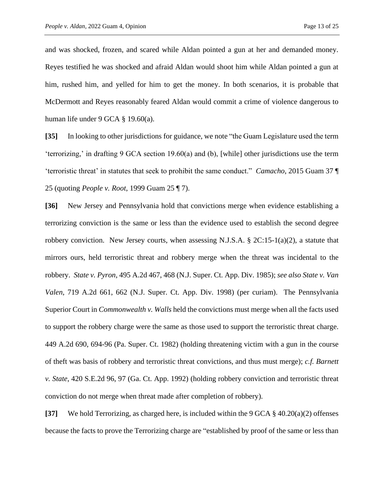and was shocked, frozen, and scared while Aldan pointed a gun at her and demanded money. Reyes testified he was shocked and afraid Aldan would shoot him while Aldan pointed a gun at him, rushed him, and yelled for him to get the money. In both scenarios, it is probable that McDermott and Reyes reasonably feared Aldan would commit a crime of violence dangerous to human life under 9 GCA § 19.60(a).

**[35]** In looking to other jurisdictions for guidance, we note "the Guam Legislature used the term 'terrorizing,' in drafting 9 GCA section 19.60(a) and (b), [while] other jurisdictions use the term 'terroristic threat' in statutes that seek to prohibit the same conduct." *Camacho*, 2015 Guam 37 ¶ 25 (quoting *People v. Root*, 1999 Guam 25 ¶ 7).

**[36]** New Jersey and Pennsylvania hold that convictions merge when evidence establishing a terrorizing conviction is the same or less than the evidence used to establish the second degree robbery conviction. New Jersey courts, when assessing N.J.S.A.  $\S 2C:15-1(a)(2)$ , a statute that mirrors ours, held terroristic threat and robbery merge when the threat was incidental to the robbery. *State v. Pyron*, 495 A.2d 467, 468 (N.J. Super. Ct. App. Div. 1985); *see also State v. Van Valen*, 719 A.2d 661, 662 (N.J. Super. Ct. App. Div. 1998) (per curiam). The Pennsylvania Superior Court in *Commonwealth v. Walls* held the convictions must merge when all the facts used to support the robbery charge were the same as those used to support the terroristic threat charge. 449 A.2d 690, 694-96 (Pa. Super. Ct. 1982) (holding threatening victim with a gun in the course of theft was basis of robbery and terroristic threat convictions, and thus must merge); *c.f. Barnett v. State*, 420 S.E.2d 96, 97 (Ga. Ct. App. 1992) (holding robbery conviction and terroristic threat conviction do not merge when threat made after completion of robbery).

**[37]** We hold Terrorizing, as charged here, is included within the 9 GCA § 40.20(a)(2) offenses because the facts to prove the Terrorizing charge are "established by proof of the same or less than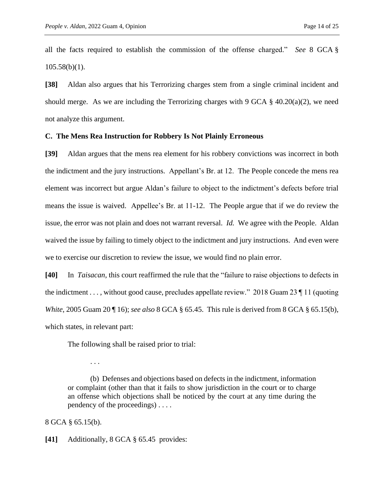all the facts required to establish the commission of the offense charged." *See* 8 GCA §  $105.58(b)(1)$ .

**[38]** Aldan also argues that his Terrorizing charges stem from a single criminal incident and should merge. As we are including the Terrorizing charges with 9 GCA  $\S$  40.20(a)(2), we need not analyze this argument.

### **C. The Mens Rea Instruction for Robbery Is Not Plainly Erroneous**

**[39]** Aldan argues that the mens rea element for his robbery convictions was incorrect in both the indictment and the jury instructions. Appellant's Br. at 12. The People concede the mens rea element was incorrect but argue Aldan's failure to object to the indictment's defects before trial means the issue is waived. Appellee's Br. at 11-12. The People argue that if we do review the issue, the error was not plain and does not warrant reversal. *Id.* We agree with the People. Aldan waived the issue by failing to timely object to the indictment and jury instructions. And even were we to exercise our discretion to review the issue, we would find no plain error.

**[40]** In *Taisacan*, this court reaffirmed the rule that the "failure to raise objections to defects in the indictment . . . , without good cause, precludes appellate review." 2018 Guam 23 ¶ 11 (quoting *White*, 2005 Guam 20 ¶ 16); *see also* 8 GCA § 65.45. This rule is derived from 8 GCA § 65.15(b), which states, in relevant part:

The following shall be raised prior to trial:

(b) Defenses and objections based on defects in the indictment, information or complaint (other than that it fails to show jurisdiction in the court or to charge an offense which objections shall be noticed by the court at any time during the pendency of the proceedings) . . . .

8 GCA § 65.15(b).

. . .

**[41]** Additionally, 8 GCA § 65.45 provides: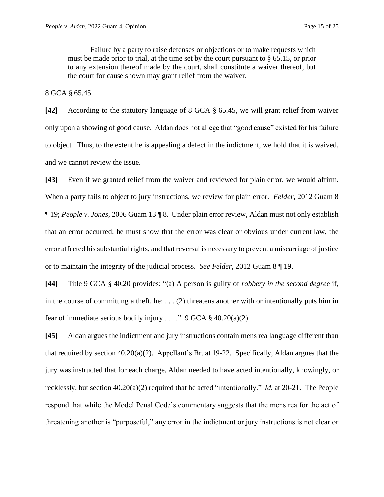Failure by a party to raise defenses or objections or to make requests which must be made prior to trial, at the time set by the court pursuant to § 65.15, or prior to any extension thereof made by the court, shall constitute a waiver thereof, but the court for cause shown may grant relief from the waiver.

8 GCA § 65.45.

**[42]** According to the statutory language of 8 GCA § 65.45, we will grant relief from waiver only upon a showing of good cause. Aldan does not allege that "good cause" existed for his failure to object. Thus, to the extent he is appealing a defect in the indictment, we hold that it is waived, and we cannot review the issue.

**[43]** Even if we granted relief from the waiver and reviewed for plain error, we would affirm. When a party fails to object to jury instructions, we review for plain error. *Felder*, 2012 Guam 8 ¶ 19; *People v. Jones*, 2006 Guam 13 ¶ 8. Under plain error review, Aldan must not only establish that an error occurred; he must show that the error was clear or obvious under current law, the error affected his substantial rights, and that reversal is necessary to prevent a miscarriage of justice or to maintain the integrity of the judicial process. *See Felder*, 2012 Guam 8 ¶ 19.

**[44]** Title 9 GCA § 40.20 provides: "(a) A person is guilty of *robbery in the second degree* if, in the course of committing a theft, he:  $\dots$  (2) threatens another with or intentionally puts him in fear of immediate serious bodily injury . . . ." 9 GCA  $\S$  40.20(a)(2).

**[45]** Aldan argues the indictment and jury instructions contain mens rea language different than that required by section  $40.20(a)(2)$ . Appellant's Br. at 19-22. Specifically, Aldan argues that the jury was instructed that for each charge, Aldan needed to have acted intentionally, knowingly, or recklessly, but section 40.20(a)(2) required that he acted "intentionally." *Id.* at 20-21. The People respond that while the Model Penal Code's commentary suggests that the mens rea for the act of threatening another is "purposeful," any error in the indictment or jury instructions is not clear or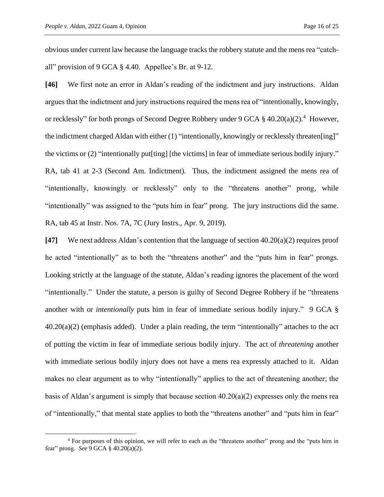obvious under current law because the language tracks the robbery statute and the mens rea "catchall" provision of 9 GCA § 4.40. Appellee's Br. at 9-12.

**[46]** We first note an error in Aldan's reading of the indictment and jury instructions. Aldan argues that the indictment and jury instructions required the mens rea of "intentionally, knowingly, or recklessly" for both prongs of Second Degree Robbery under 9 GCA  $\S$  40.20(a)(2).<sup>4</sup> However, the indictment charged Aldan with either (1) "intentionally, knowingly or recklessly threaten[ing]" the victims or (2) "intentionally put[ting] [the victims] in fear of immediate serious bodily injury." RA, tab 41 at 2-3 (Second Am. Indictment). Thus, the indictment assigned the mens rea of "intentionally, knowingly or recklessly" only to the "threatens another" prong, while "intentionally" was assigned to the "puts him in fear" prong. The jury instructions did the same. RA, tab 45 at Instr. Nos. 7A, 7C (Jury Instrs., Apr. 9, 2019).

**[47]** We next address Aldan's contention that the language of section 40.20(a)(2) requires proof he acted "intentionally" as to both the "threatens another" and the "puts him in fear" prongs. Looking strictly at the language of the statute, Aldan's reading ignores the placement of the word "intentionally." Under the statute, a person is guilty of Second Degree Robbery if he "threatens another with or *intentionally* puts him in fear of immediate serious bodily injury." 9 GCA §  $40.20(a)(2)$  (emphasis added). Under a plain reading, the term "intentionally" attaches to the act of putting the victim in fear of immediate serious bodily injury. The act of *threatening* another with immediate serious bodily injury does not have a mens rea expressly attached to it. Aldan makes no clear argument as to why "intentionally" applies to the act of threatening another; the basis of Aldan's argument is simply that because section 40.20(a)(2) expresses only the mens rea of "intentionally," that mental state applies to both the "threatens another" and "puts him in fear"

<sup>&</sup>lt;sup>4</sup> For purposes of this opinion, we will refer to each as the "threatens another" prong and the "puts him in fear" prong. *See* 9 GCA § 40.20(a)(2).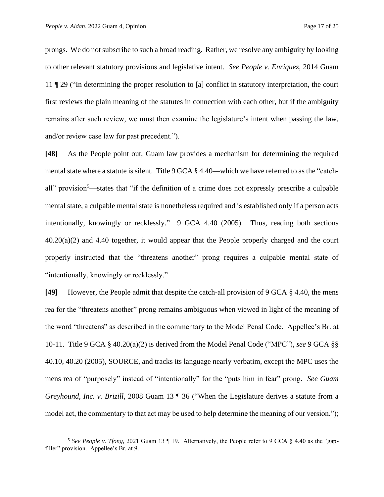prongs. We do not subscribe to such a broad reading. Rather, we resolve any ambiguity by looking to other relevant statutory provisions and legislative intent. *See People v. Enriquez*, 2014 Guam 11 ¶ 29 ("In determining the proper resolution to [a] conflict in statutory interpretation, the court first reviews the plain meaning of the statutes in connection with each other, but if the ambiguity remains after such review, we must then examine the legislature's intent when passing the law, and/or review case law for past precedent.").

**[48]** As the People point out, Guam law provides a mechanism for determining the required mental state where a statute is silent. Title 9 GCA § 4.40—which we have referred to as the "catchall" provision<sup>5</sup>—states that "if the definition of a crime does not expressly prescribe a culpable mental state, a culpable mental state is nonetheless required and is established only if a person acts intentionally, knowingly or recklessly." 9 GCA 4.40 (2005). Thus, reading both sections 40.20(a)(2) and 4.40 together, it would appear that the People properly charged and the court properly instructed that the "threatens another" prong requires a culpable mental state of "intentionally, knowingly or recklessly."

**[49]** However, the People admit that despite the catch-all provision of 9 GCA § 4.40, the mens rea for the "threatens another" prong remains ambiguous when viewed in light of the meaning of the word "threatens" as described in the commentary to the Model Penal Code. Appellee's Br. at 10-11. Title 9 GCA § 40.20(a)(2) is derived from the Model Penal Code ("MPC"), *see* 9 GCA §§ 40.10, 40.20 (2005), SOURCE, and tracks its language nearly verbatim, except the MPC uses the mens rea of "purposely" instead of "intentionally" for the "puts him in fear" prong. *See Guam Greyhound, Inc. v. Brizill*, 2008 Guam 13 ¶ 36 ("When the Legislature derives a statute from a model act, the commentary to that act may be used to help determine the meaning of our version.");

<sup>&</sup>lt;sup>5</sup> See People v. Tfong, 2021 Guam 13 ¶ 19. Alternatively, the People refer to 9 GCA § 4.40 as the "gapfiller" provision. Appellee's Br. at 9.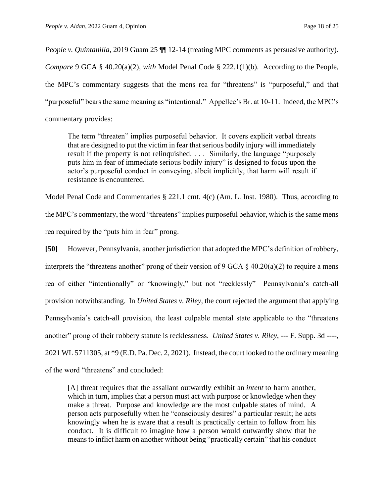*People v. Quintanilla*, 2019 Guam 25  $\P$  12-14 (treating MPC comments as persuasive authority). *Compare* 9 GCA § 40.20(a)(2), *with* Model Penal Code § 222.1(1)(b). According to the People, the MPC's commentary suggests that the mens rea for "threatens" is "purposeful," and that "purposeful" bears the same meaning as "intentional." Appellee's Br. at 10-11. Indeed, the MPC's commentary provides:

The term "threaten" implies purposeful behavior. It covers explicit verbal threats that are designed to put the victim in fear that serious bodily injury will immediately result if the property is not relinquished. . . . Similarly, the language "purposely puts him in fear of immediate serious bodily injury" is designed to focus upon the actor's purposeful conduct in conveying, albeit implicitly, that harm will result if resistance is encountered.

Model Penal Code and Commentaries § 221.1 cmt. 4(c) (Am. L. Inst. 1980). Thus, according to the MPC's commentary, the word "threatens" implies purposeful behavior, which is the same mens rea required by the "puts him in fear" prong.

**[50]** However, Pennsylvania, another jurisdiction that adopted the MPC's definition of robbery, interprets the "threatens another" prong of their version of 9 GCA  $\S$  40.20(a)(2) to require a mens rea of either "intentionally" or "knowingly," but not "recklessly"—Pennsylvania's catch-all provision notwithstanding. In *United States v. Riley*, the court rejected the argument that applying Pennsylvania's catch-all provision, the least culpable mental state applicable to the "threatens another" prong of their robbery statute is recklessness. *United States v. Riley*, --- F. Supp. 3d ----, 2021 WL 5711305, at \*9 (E.D. Pa. Dec. 2, 2021). Instead, the court looked to the ordinary meaning of the word "threatens" and concluded:

[A] threat requires that the assailant outwardly exhibit an *intent* to harm another, which in turn, implies that a person must act with purpose or knowledge when they make a threat. Purpose and knowledge are the most culpable states of mind. A person acts purposefully when he "consciously desires" a particular result; he acts knowingly when he is aware that a result is practically certain to follow from his conduct. It is difficult to imagine how a person would outwardly show that he means to inflict harm on another without being "practically certain" that his conduct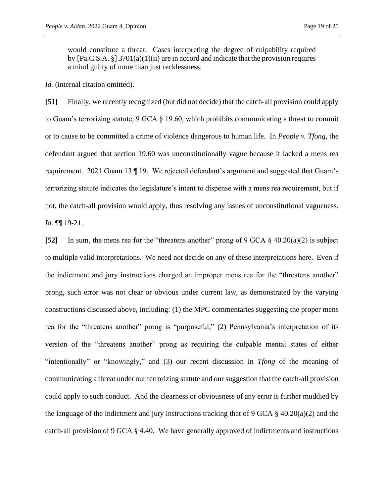would constitute a threat. Cases interpreting the degree of culpability required by [Pa.C.S.A. §] 3701(a)(1)(ii) are in accord and indicate that the provision requires a mind guilty of more than just recklessness.

*Id.* (internal citation omitted).

**[51]** Finally, we recently recognized (but did not decide) that the catch-all provision could apply to Guam's terrorizing statute,  $9$  GCA  $\S$  19.60, which prohibits communicating a threat to commit or to cause to be committed a crime of violence dangerous to human life. In *People v. Tfong*, the defendant argued that section 19.60 was unconstitutionally vague because it lacked a mens rea requirement. 2021 Guam 13 ¶ 19. We rejected defendant's argument and suggested that Guam's terrorizing statute indicates the legislature's intent to dispense with a mens rea requirement, but if not, the catch-all provision would apply, thus resolving any issues of unconstitutional vagueness. *Id.* ¶¶ 19-21.

**[52]** In sum, the mens rea for the "threatens another" prong of 9 GCA § 40.20(a)(2) is subject to multiple valid interpretations. We need not decide on any of these interpretations here. Even if the indictment and jury instructions charged an improper mens rea for the "threatens another" prong, such error was not clear or obvious under current law, as demonstrated by the varying constructions discussed above, including: (1) the MPC commentaries suggesting the proper mens rea for the "threatens another" prong is "purposeful," (2) Pennsylvania's interpretation of its version of the "threatens another" prong as requiring the culpable mental states of either "intentionally" or "knowingly," and (3) our recent discussion in *Tfong* of the meaning of communicating a threat under our terrorizing statute and our suggestion that the catch-all provision could apply to such conduct. And the clearness or obviousness of any error is further muddied by the language of the indictment and jury instructions tracking that of 9 GCA  $\S$  40.20(a)(2) and the catch-all provision of 9 GCA § 4.40. We have generally approved of indictments and instructions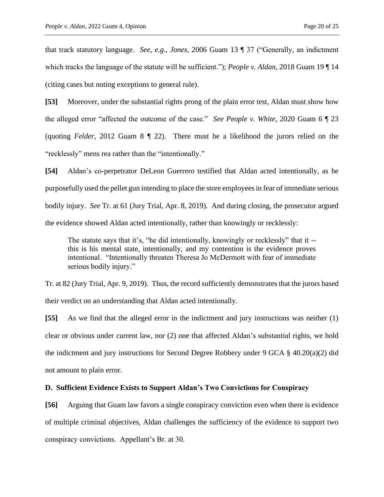that track statutory language. *See, e.g.*, *Jones*, 2006 Guam 13 ¶ 37 ("Generally, an indictment which tracks the language of the statute will be sufficient."); *People v. Aldan*, 2018 Guam 19 ¶ 14 (citing cases but noting exceptions to general rule).

**[53]** Moreover, under the substantial rights prong of the plain error test, Aldan must show how the alleged error "affected the outcome of the case." *See People v. White*, 2020 Guam 6 ¶ 23 (quoting *Felder*, 2012 Guam 8 ¶ 22). There must be a likelihood the jurors relied on the "recklessly" mens rea rather than the "intentionally."

**[54]** Aldan's co-perpetrator DeLeon Guerrero testified that Aldan acted intentionally, as he purposefully used the pellet gun intending to place the store employees in fear of immediate serious bodily injury. *See* Tr. at 61 (Jury Trial, Apr. 8, 2019). And during closing, the prosecutor argued the evidence showed Aldan acted intentionally, rather than knowingly or recklessly:

The statute says that it's, "he did intentionally, knowingly or recklessly" that it - this is his mental state, intentionally, and my contention is the evidence proves intentional. "Intentionally threaten Theresa Jo McDermott with fear of immediate serious bodily injury."

Tr. at 82 (Jury Trial, Apr. 9, 2019). Thus, the record sufficiently demonstrates that the jurors based their verdict on an understanding that Aldan acted intentionally.

**[55]** As we find that the alleged error in the indictment and jury instructions was neither (1) clear or obvious under current law, nor (2) one that affected Aldan's substantial rights, we hold the indictment and jury instructions for Second Degree Robbery under 9 GCA § 40.20(a)(2) did not amount to plain error.

## **D. Sufficient Evidence Exists to Support Aldan's Two Convictions for Conspiracy**

**[56]** Arguing that Guam law favors a single conspiracy conviction even when there is evidence of multiple criminal objectives, Aldan challenges the sufficiency of the evidence to support two conspiracy convictions. Appellant's Br. at 30.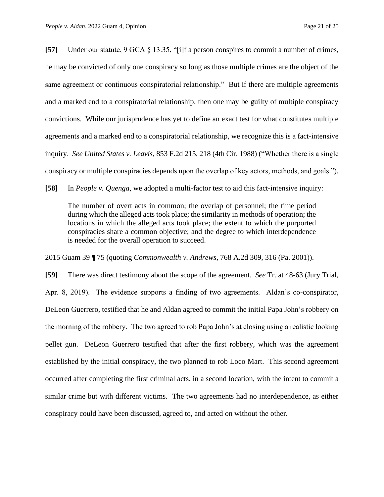**[57]** Under our statute, 9 GCA § 13.35, "[i]f a person conspires to commit a number of crimes, he may be convicted of only one conspiracy so long as those multiple crimes are the object of the same agreement or continuous conspiratorial relationship." But if there are multiple agreements and a marked end to a conspiratorial relationship, then one may be guilty of multiple conspiracy convictions. While our jurisprudence has yet to define an exact test for what constitutes multiple agreements and a marked end to a conspiratorial relationship, we recognize this is a fact-intensive inquiry. *See United States v. Leavis*, 853 F.2d 215, 218 (4th Cir. 1988) ("Whether there is a single conspiracy or multiple conspiracies depends upon the overlap of key actors, methods, and goals.").

**[58]** In *People v. Quenga*, we adopted a multi-factor test to aid this fact-intensive inquiry:

The number of overt acts in common; the overlap of personnel; the time period during which the alleged acts took place; the similarity in methods of operation; the locations in which the alleged acts took place; the extent to which the purported conspiracies share a common objective; and the degree to which interdependence is needed for the overall operation to succeed.

2015 Guam 39 ¶ 75 (quoting *Commonwealth v. Andrews*, 768 A.2d 309, 316 (Pa. 2001)).

**[59]** There was direct testimony about the scope of the agreement. *See* Tr. at 48-63 (Jury Trial, Apr. 8, 2019). The evidence supports a finding of two agreements. Aldan's co-conspirator, DeLeon Guerrero, testified that he and Aldan agreed to commit the initial Papa John's robbery on the morning of the robbery. The two agreed to rob Papa John's at closing using a realistic looking pellet gun. DeLeon Guerrero testified that after the first robbery, which was the agreement established by the initial conspiracy, the two planned to rob Loco Mart. This second agreement occurred after completing the first criminal acts, in a second location, with the intent to commit a similar crime but with different victims. The two agreements had no interdependence, as either conspiracy could have been discussed, agreed to, and acted on without the other.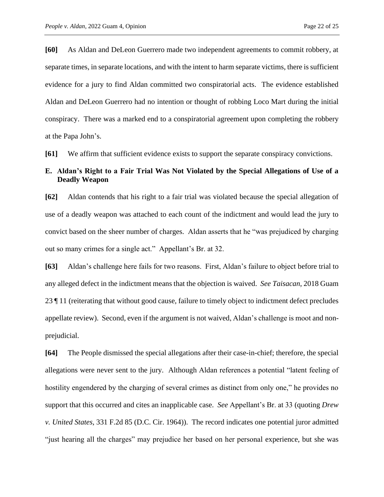**[60]** As Aldan and DeLeon Guerrero made two independent agreements to commit robbery, at separate times, in separate locations, and with the intent to harm separate victims, there is sufficient evidence for a jury to find Aldan committed two conspiratorial acts. The evidence established Aldan and DeLeon Guerrero had no intention or thought of robbing Loco Mart during the initial conspiracy. There was a marked end to a conspiratorial agreement upon completing the robbery at the Papa John's.

**[61]** We affirm that sufficient evidence exists to support the separate conspiracy convictions.

## **E. Aldan's Right to a Fair Trial Was Not Violated by the Special Allegations of Use of a Deadly Weapon**

**[62]** Aldan contends that his right to a fair trial was violated because the special allegation of use of a deadly weapon was attached to each count of the indictment and would lead the jury to convict based on the sheer number of charges. Aldan asserts that he "was prejudiced by charging out so many crimes for a single act." Appellant's Br. at 32.

**[63]** Aldan's challenge here fails for two reasons. First, Aldan's failure to object before trial to any alleged defect in the indictment means that the objection is waived. *See Taisacan*, 2018 Guam 23 ¶ 11 (reiterating that without good cause, failure to timely object to indictment defect precludes appellate review). Second, even if the argument is not waived, Aldan's challenge is moot and nonprejudicial.

**[64]** The People dismissed the special allegations after their case-in-chief; therefore, the special allegations were never sent to the jury. Although Aldan references a potential "latent feeling of hostility engendered by the charging of several crimes as distinct from only one," he provides no support that this occurred and cites an inapplicable case. *See* Appellant's Br. at 33 (quoting *Drew v. United States*, 331 F.2d 85 (D.C. Cir. 1964)). The record indicates one potential juror admitted "just hearing all the charges" may prejudice her based on her personal experience, but she was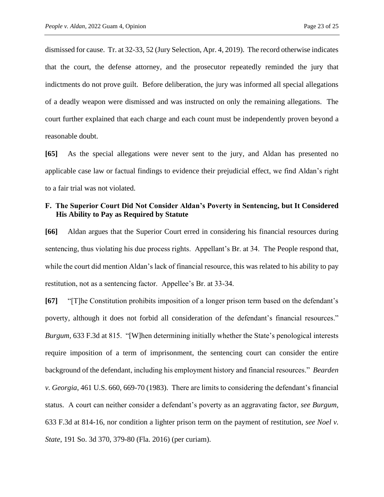dismissed for cause. Tr. at 32-33, 52 (Jury Selection, Apr. 4, 2019). The record otherwise indicates that the court, the defense attorney, and the prosecutor repeatedly reminded the jury that indictments do not prove guilt. Before deliberation, the jury was informed all special allegations of a deadly weapon were dismissed and was instructed on only the remaining allegations. The court further explained that each charge and each count must be independently proven beyond a reasonable doubt.

**[65]** As the special allegations were never sent to the jury, and Aldan has presented no applicable case law or factual findings to evidence their prejudicial effect, we find Aldan's right to a fair trial was not violated.

## **F. The Superior Court Did Not Consider Aldan's Poverty in Sentencing, but It Considered His Ability to Pay as Required by Statute**

**[66]** Aldan argues that the Superior Court erred in considering his financial resources during sentencing, thus violating his due process rights. Appellant's Br. at 34. The People respond that, while the court did mention Aldan's lack of financial resource, this was related to his ability to pay restitution, not as a sentencing factor. Appellee's Br. at 33-34.

**[67]** "[T]he Constitution prohibits imposition of a longer prison term based on the defendant's poverty, although it does not forbid all consideration of the defendant's financial resources." *Burgum*, 633 F.3d at 815. "[W]hen determining initially whether the State's penological interests require imposition of a term of imprisonment, the sentencing court can consider the entire background of the defendant, including his employment history and financial resources." *Bearden v. Georgia*, 461 U.S. 660, 669-70 (1983). There are limits to considering the defendant's financial status. A court can neither consider a defendant's poverty as an aggravating factor, *see Burgum*, 633 F.3d at 814-16, nor condition a lighter prison term on the payment of restitution, *see Noel v. State*, 191 So. 3d 370, 379-80 (Fla. 2016) (per curiam).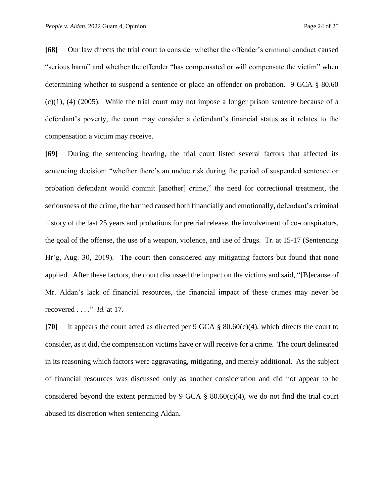**[68]** Our law directs the trial court to consider whether the offender's criminal conduct caused "serious harm" and whether the offender "has compensated or will compensate the victim" when determining whether to suspend a sentence or place an offender on probation. 9 GCA § 80.60  $(c)(1)$ ,  $(4)$   $(2005)$ . While the trial court may not impose a longer prison sentence because of a defendant's poverty, the court may consider a defendant's financial status as it relates to the compensation a victim may receive.

**[69]** During the sentencing hearing, the trial court listed several factors that affected its sentencing decision: "whether there's an undue risk during the period of suspended sentence or probation defendant would commit [another] crime," the need for correctional treatment, the seriousness of the crime, the harmed caused both financially and emotionally, defendant's criminal history of the last 25 years and probations for pretrial release, the involvement of co-conspirators, the goal of the offense*,* the use of a weapon, violence, and use of drugs. Tr. at 15-17 (Sentencing Hr'g, Aug. 30, 2019). The court then considered any mitigating factors but found that none applied. After these factors, the court discussed the impact on the victims and said, "[B]ecause of Mr. Aldan's lack of financial resources, the financial impact of these crimes may never be recovered . . . ." *Id.* at 17.

**[70]** It appears the court acted as directed per 9 GCA § 80.60(c)(4), which directs the court to consider, as it did, the compensation victims have or will receive for a crime. The court delineated in its reasoning which factors were aggravating, mitigating, and merely additional. As the subject of financial resources was discussed only as another consideration and did not appear to be considered beyond the extent permitted by 9 GCA  $\S$  80.60(c)(4), we do not find the trial court abused its discretion when sentencing Aldan.